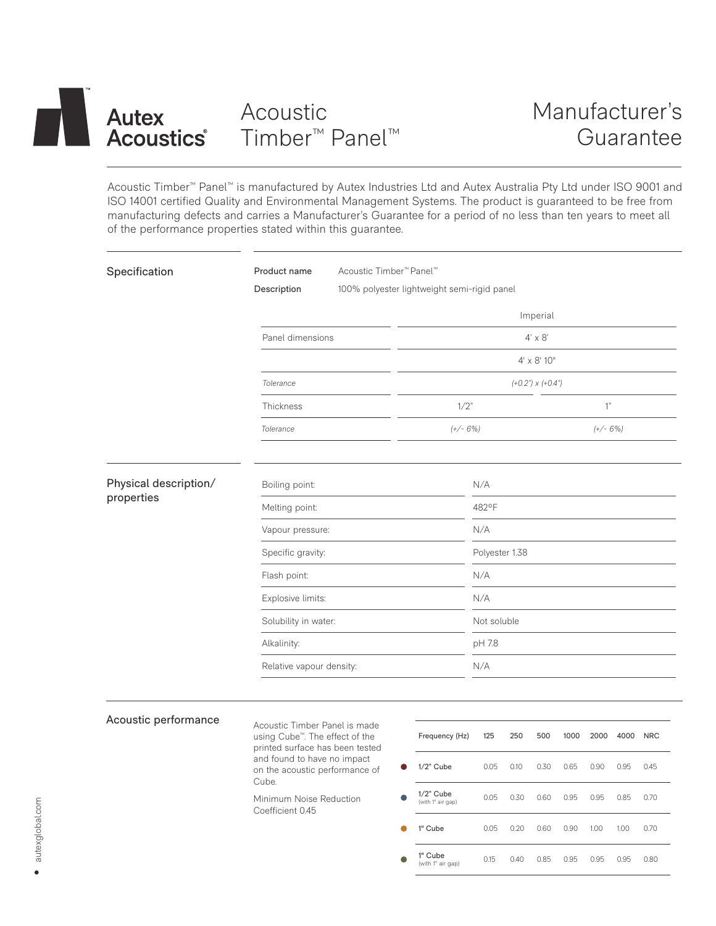# **Autex Acoustics**

# Acoustic Timber™ Panel™

Acoustic Timber™ Panel™ is manufactured by Autex Industries Ltd and Autex Australia Pty Ltd under ISO 9001 and ISO 14001 certified Quality and Environmental Management Systems. The product is guaranteed to be free from manufacturing defects and carries a Manufacturer's Guarantee for a period of no less than ten years to meet all of the performance properties stated within this guarantee.

| Specification                       | Product name<br>Acoustic Timber <sup>™</sup> Panel™                                                             |                                             |                |      |      |      |            |      |            |
|-------------------------------------|-----------------------------------------------------------------------------------------------------------------|---------------------------------------------|----------------|------|------|------|------------|------|------------|
|                                     | Description                                                                                                     | 100% polyester lightweight semi-rigid panel |                |      |      |      |            |      |            |
|                                     |                                                                                                                 | Imperial                                    |                |      |      |      |            |      |            |
|                                     | Panel dimensions                                                                                                | $4' \times 8'$                              |                |      |      |      |            |      |            |
|                                     |                                                                                                                 | $4' \times 8'$ 10"                          |                |      |      |      |            |      |            |
|                                     | Tolerance                                                                                                       | $(+0.2") \times (+0.4")$                    |                |      |      |      |            |      |            |
|                                     | 1/2"<br>Thickness                                                                                               |                                             |                |      |      |      | 1"         |      |            |
|                                     | $(+/- 6%)$<br>Tolerance                                                                                         |                                             |                |      |      |      | $(+/- 6%)$ |      |            |
| Physical description/<br>properties | Boiling point:                                                                                                  |                                             | N/A            |      |      |      |            |      |            |
|                                     | Melting point:                                                                                                  |                                             | 482°F          |      |      |      |            |      |            |
|                                     | Vapour pressure:                                                                                                |                                             | N/A            |      |      |      |            |      |            |
|                                     | Specific gravity:                                                                                               |                                             | Polyester 1.38 |      |      |      |            |      |            |
|                                     | Flash point:                                                                                                    |                                             | N/A            |      |      |      |            |      |            |
|                                     | Explosive limits:                                                                                               |                                             | N/A            |      |      |      |            |      |            |
|                                     | Solubility in water:                                                                                            |                                             | Not soluble    |      |      |      |            |      |            |
|                                     | Alkalinity:                                                                                                     |                                             | pH 7.8         |      |      |      |            |      |            |
|                                     | Relative vapour density:                                                                                        |                                             |                | N/A  |      |      |            |      |            |
|                                     |                                                                                                                 |                                             |                |      |      |      |            |      |            |
| Acoustic performance                | Acoustic Timber Panel is made<br>using Cube <sup>™</sup> . The effect of the<br>printed surface has been tested | Frequency (Hz)                              | 125            | 250  | 500  | 1000 | 2000       | 4000 | <b>NRC</b> |
|                                     | and found to have no impact<br>on the acoustic performance of<br>Cube.                                          | $1/2$ " Cube                                | 0.05           | 0.10 | 0.30 | 0.65 | 0.90       | 0.95 | 0.45       |
|                                     | Minimum Noise Reduction<br>Coefficient 0.45                                                                     | $1/2$ " Cube<br>(with 1" air gap)           | 0.05           | 0.30 | 0.60 | 0.95 | 0.95       | 0.85 | 0.70       |
|                                     |                                                                                                                 | 1" Cube                                     | 0.05           | 0.20 | 0.60 | 0.90 | 1.00       | 1.00 | 0.70       |
|                                     |                                                                                                                 | 1" Cube<br>(with 1" air gap)                | 0.15           | 0.40 | 0.85 | 0.95 | 0.95       | 0.95 | 0.80       |